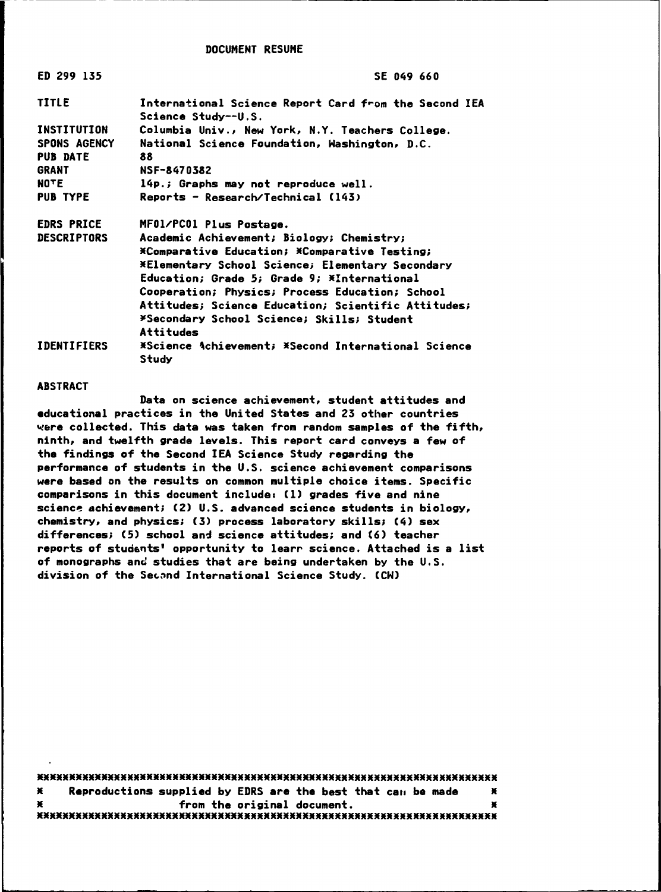DOCUMENT RESUME

----------------------------------------------,

| ED 299 135         | <b>SE 049 660</b>                                                                   |  |  |  |
|--------------------|-------------------------------------------------------------------------------------|--|--|--|
| <b>TITLE</b>       | International Science Report Card from the Second IEA<br><b>Science Study--U.S.</b> |  |  |  |
| <b>INSTITUTION</b> | Columbia Univ., New York, N.Y. Teachers College.                                    |  |  |  |
| SPONS AGENCY       | National Science Foundation, Washington, D.C.                                       |  |  |  |
| <b>PUB DATE</b>    | 88                                                                                  |  |  |  |
| <b>GRANT</b>       | NSF-8470382                                                                         |  |  |  |
| <b>NOTE</b>        | 14p.; Graphs may not reproduce well.                                                |  |  |  |
| <b>PUB TYPE</b>    | Reports - Research/Technical (143)                                                  |  |  |  |
| <b>EDRS PRICE</b>  | MF01/PC01 Plus Postage.                                                             |  |  |  |
| <b>DESCRIPTORS</b> | Academic Achievement; Biology; Chemistry;                                           |  |  |  |
|                    | *Comparative Education; *Comparative Testing;                                       |  |  |  |
|                    | <b>*Elementary School Science; Elementary Secondary</b>                             |  |  |  |
|                    | Education; Grade 5; Grade 9; *International                                         |  |  |  |
|                    | Cooperation; Physics; Process Education; School                                     |  |  |  |
|                    | <b>Attitudes; Science Education; Scientific Attitudes;</b>                          |  |  |  |
|                    | *Secondary School Science; Skills; Student                                          |  |  |  |
|                    | Attitudes                                                                           |  |  |  |
| <b>IDENTIFIERS</b> | *Science Achievement; *Second International Science<br>Study                        |  |  |  |

#### ABSTRACT

Data on science achievement, student attitudes and **educational** practices in the United States and 23 other countries **~~re** collected. This data was taken from random samples of the fifth, ninth, and twelfth **grade** levels. This report card conveys a few of the findings of the Second IEA Science Study regarding the performance of students in the U.S. science achievement comparisons were based *on* the results on common multiple choice items. Specific comparisons in this document includes Cl) **grades** five and nine science achievement; (2) U.S. advanced science students in biology, chemistry, and physics; (3) process laboratory skills; (4) sex differences; (5) school and science attitudes; and (6) teacher reports of students' opportunity to learr science. Attached is a list of monographs an~ studies that are **being** undertaken by the U.S. division of the Second International Science Study. (CW)

••••••••••••••••••••••••••••••••••••••••••••••••••••••••••••••••••••••• ••••••••••••••••••••••••••••••••••••••••••••••••••••••••••••••••••••••• • Reproductions supplied by EDRS are the best that cau **be made** • • from the original document. •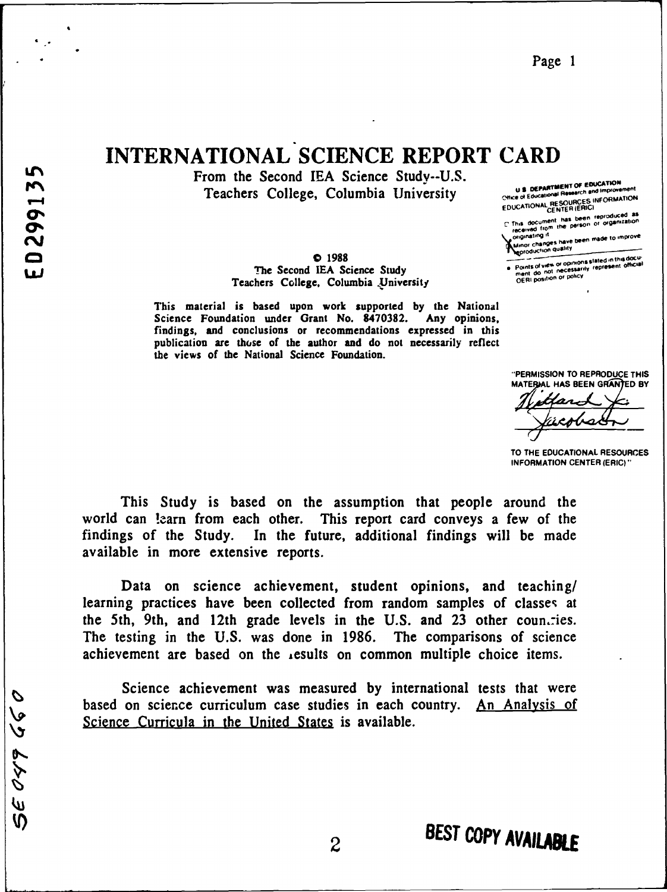29 666 08

. .

# . INTERNATIONAL SCIENCE REPORT CARD

From the Second IEA Science Study--U.S. Teachers College, Columbia University

> **0** 1988 The Second IEA Science Study Teachers College, Columbia .University

This material is based upon work supported by the National Science Foundation under Grant No. 8470382. Any opinions, findings, and conclusions or recommendations expressed in this publication arc those of the author and do not necessarily reflect the views of the National Science Foundation.

**L'After SOF EDUCATION U.S. DEPARTMENT OF EDUCATION<br>Office of Educational Research and Improvement Chicago of Equation CEO URCES INFORMATION** Chice of Educational Research as Information<br>EDUCATIONAL RESOURCES INFORMATION<br>CENTER (ERIC)<br>The has heen reproduced as

L This document has been reproduced as<br>received from the person or organization

iginating it<br>inor changes have been made to improve<br>inroduction quality

--- onsst1ted1nthtadOCU-Points of view or opinions stated in this document of one in the original metal...<br>ment do not inecessarily represent official...<br>OERI position or policy

"PERMISSION TO REPRODUCE THIS MATERIAL HAS BEEN GRANTED BY

TO THE EDUCATIONAL RESOURCES **INFORMATION** CENTER (ERIC)"

This Study is based on the assumption that people around the world can learn from each other. This report card conveys a few of the findings of the Study. In the future, additional findings will be made available in more extensive reports.

Data on science achievement, student opinions, and teaching/ learning practices have been collected from random samples of classes at the 5th, 9th, and 12th grade levels in the U.S. and 23 other countries. The testing in the U.S. was done in 1986. The comparisons of science achievement are based on the ,esults on common multiple choice items.

Science achievement was measured by international tests that were based on science curriculum case studies in each country. An Analysis of Science Curricula in the United States is available.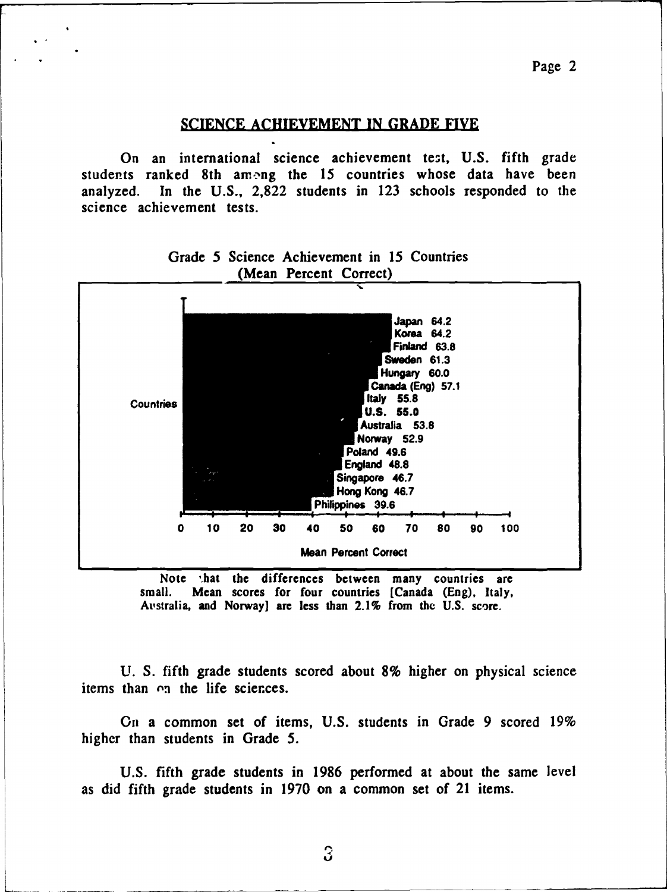#### SCIENCE ACHIEVEMENT IN GRADE FIVE

. .

On an international science achievement test, U.S. fifth grade students ranked 8th among the 15 countries whose data have been analyzed. In the U.S., 2,822 students in 123 schools responded to the science achievement tests.



### Grade *5* Science Achievement in 15 Countries (Mean Percent Correct)

Note that the differences between many countries are small. Mean scores for four countries [Canada (Eng), Italy, Australia, and Norway] are less than 2.1% from the U.S. score.

U. S. fifth grade students scored about 8% higher on physical science items than  $\alpha$  the life sciences.

On a common set of items, U.S. students in Grade 9 scored 19% higher than students in Grade *5.* 

U.S. fifth grade students in 1986 performed at about the same level as did fifth grade students in 1970 on a common set of 21 items.

3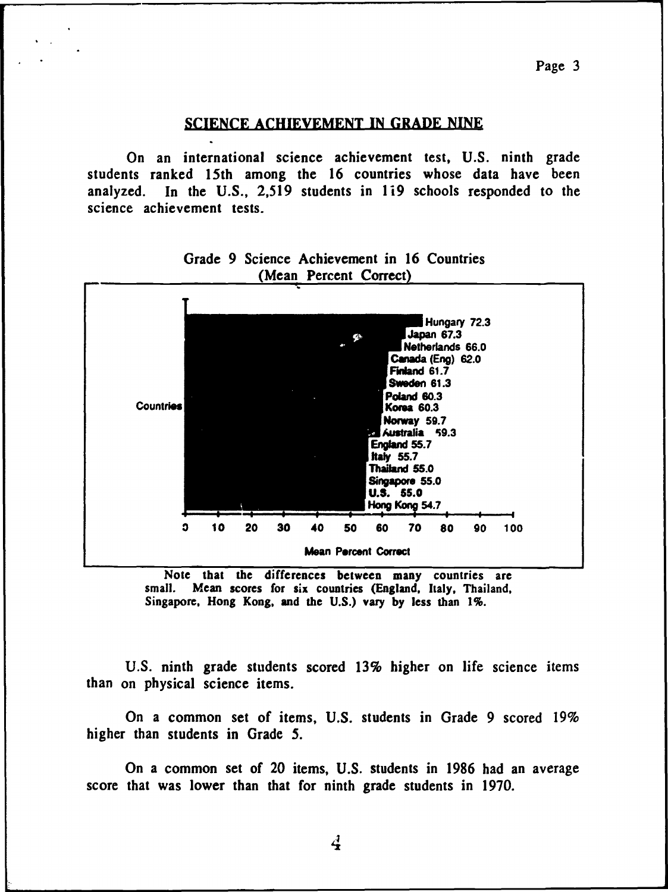#### SCIENCE ACHIEVEMENT IN GRADE NINE

On an international science achievement test, U.S. ninth grade students ranked 15th among the 16 countries whose data have been analyzed. In the U.S.,  $2,519$  students in 119 schools responded to the science achievement tests.



Grade 9 Science Achievement in 16 Countries (Mean Percent Correct

Note that the differences between many countries are small. Mean scores for six countries (England, Italy, Thailand, Singapore, Hong Kong, and the U.S.) vary by Jess than 1%.

U.S. ninth grade students scored 13% higher on life science items than on physical science items.

On a common set of items, U.S. students in Grade 9 scored 19% higher than students in Grade *5.* 

On a common set of 20 items, U.S. students in 1986 had an average score that was lower than that for ninth grade students in 1970.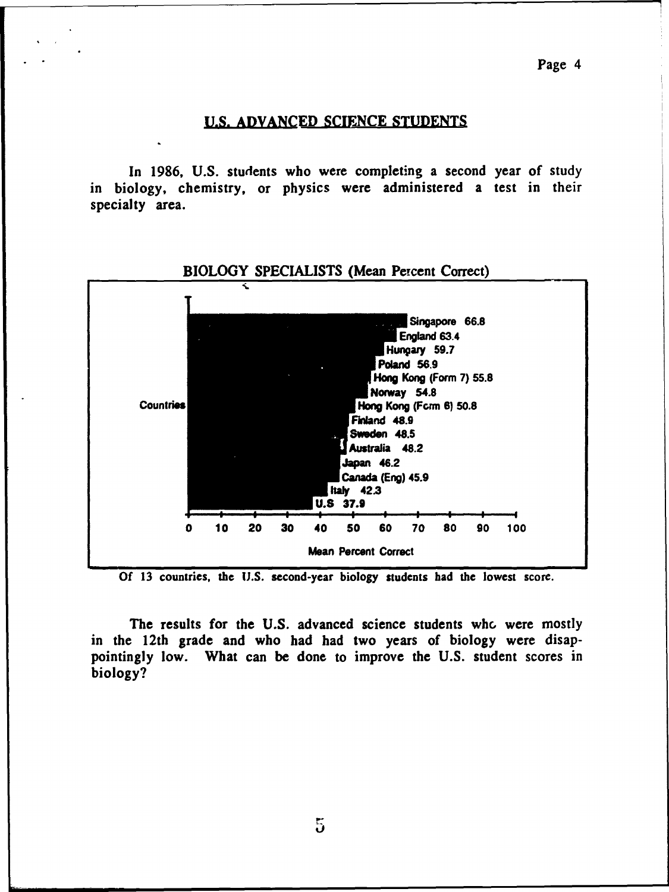#### **U.S. ADVANCED** SCIENCE STUDENTS

In 1986, U.S. students who were completing a second year of study in biology, chemistry, or physics were administered a test in their specialty area.



Of 13 countries, the U.S. second-year biology students had the lowest score.

The results for the U.S. advanced science students who were mostly in the 12th grade and who had had two years of biology were disappointingly low. What can be done to improve the U.S. student scores in biology?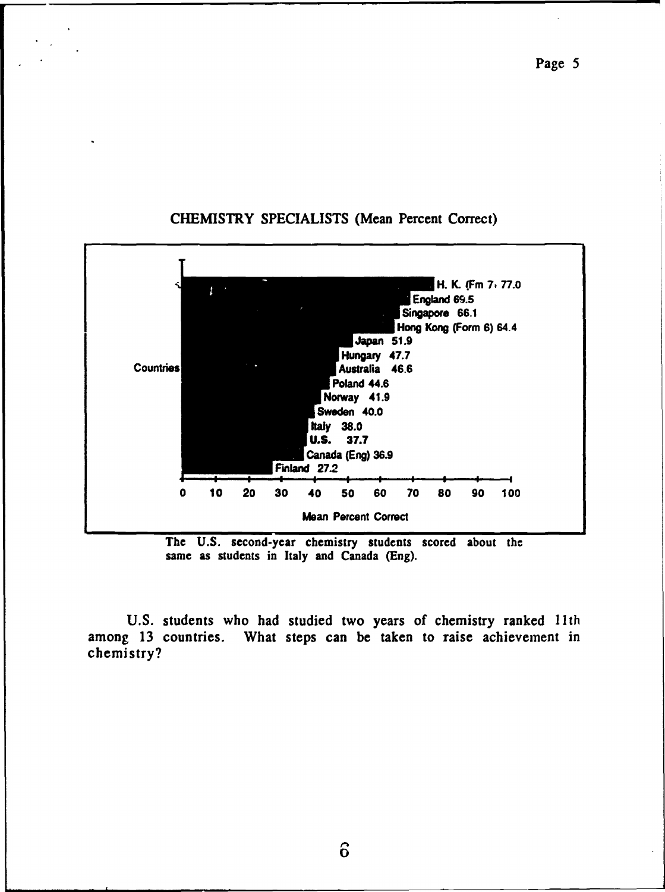

# CHEMISTRY SPECIALISTS (Mean Percent Correct)

The U.S. second-year chemistry students scored about the same as students in Italy and Canada (Eng).

U.S. students who had studied two years of chemistry ranked 11th among 13 countries. What steps can be taken to raise achievement in chemistry?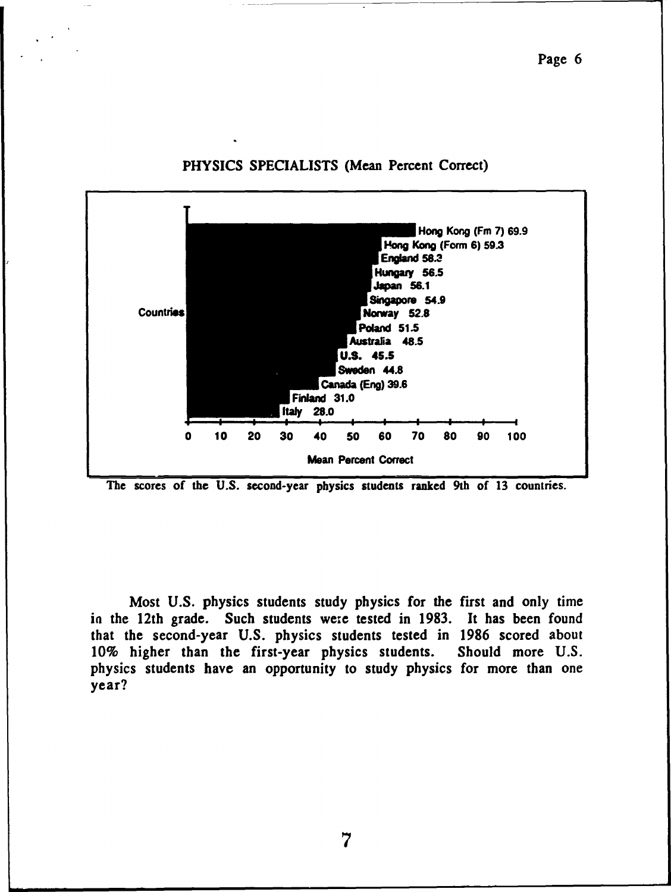

### PHYSICS SPECIALISTS (Mean Percent Correct)



Most U.S. physics students study physics for the first and only time in the 12th grade. Such students we:e tested in 1983. It has been found that the second-year U.S. physics students tested in 1986 scored about 10% higher than the first-year physics students. Should more U.S. physics students have an opportunity to study physics for more than one year?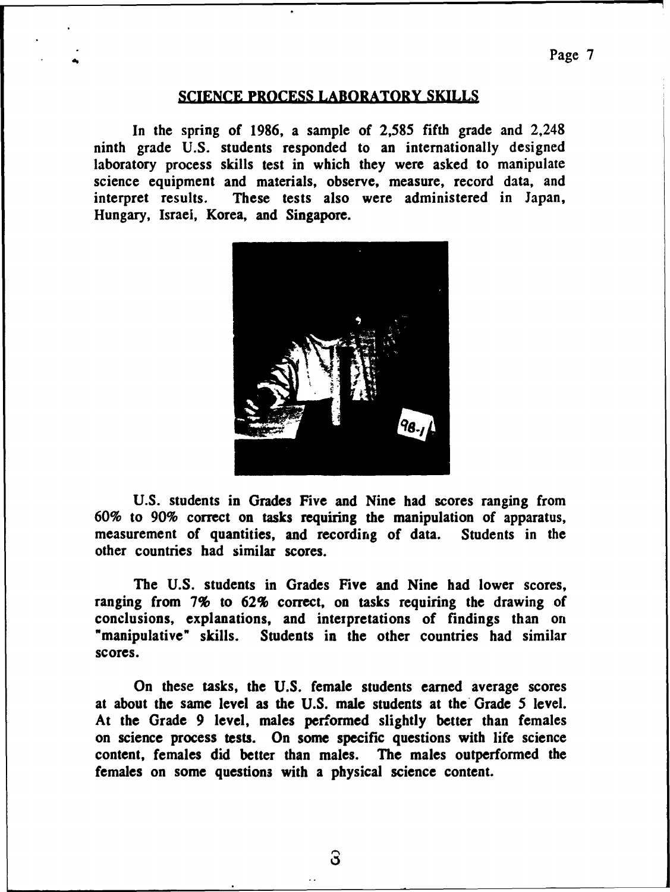### **SCIENCE PROCESS LABORATORY SKILLS**

In the spring of 1986, a sample of 2,585 fifth grade and 2.248 ninth grade U.S. students responded to an internationally designed laboratory process skills test in which they were asked to manipulate science equipment and materials, observe, measure, record data, and interpret results. These tests also were administered in Japan, Hungary, Israel, Korea, and Singapore.



U.S. students in Grades Five and Nine had scores ranging from 60% to 90% correct on tasks requiring the manipulation of apparatus, measurement of quantities, and recording of data. Students in the other countries bad similar scores.

The U.S. students in Grades Five and Nine had lower scores, ranging from 7% to 62% correct, on tasks requiring the drawing of conclusions, explanations, and interpretations of findings than on "manipulative" skills. Students in the other countries had similar scores.

On these tasks, the U.S. female students earned average scores at about the same level as the U.S. male students at the· Grade *5* level. At the Grade 9 level, males performed slightly better than females on science process tests. On some specific questions with life science content, females did better than males. The males outperformed the females on some questions with a physical science content.

<u>ි</u>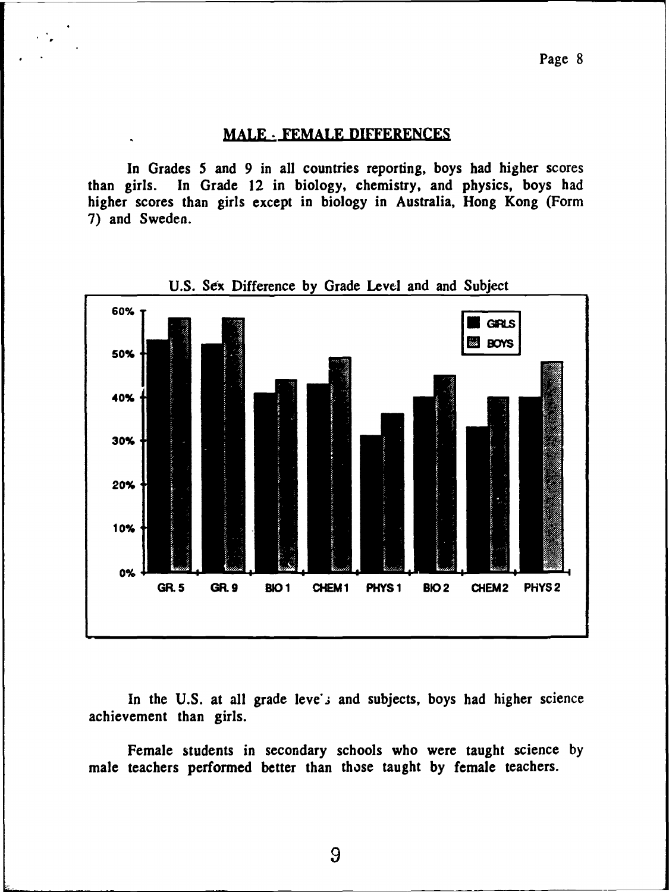#### **MALE** · **FEMALE DIFFERENCES**

In Grades *5* and 9 in all countries reporting, boys had higher scores than girls. In Grade 12 in biology, chemistry, and physics, boys had higher scores than girls except in biology in Australia, Hong Kong (Form 7) and Sweden.



U.S. Sex Difference by Grade Level and and Subject

In the U.S. at all grade leve's and subjects, boys had higher science achievement than girls.

Female students in secondary schools who were taught science by male teachers performed better than those taught by female teachers.

9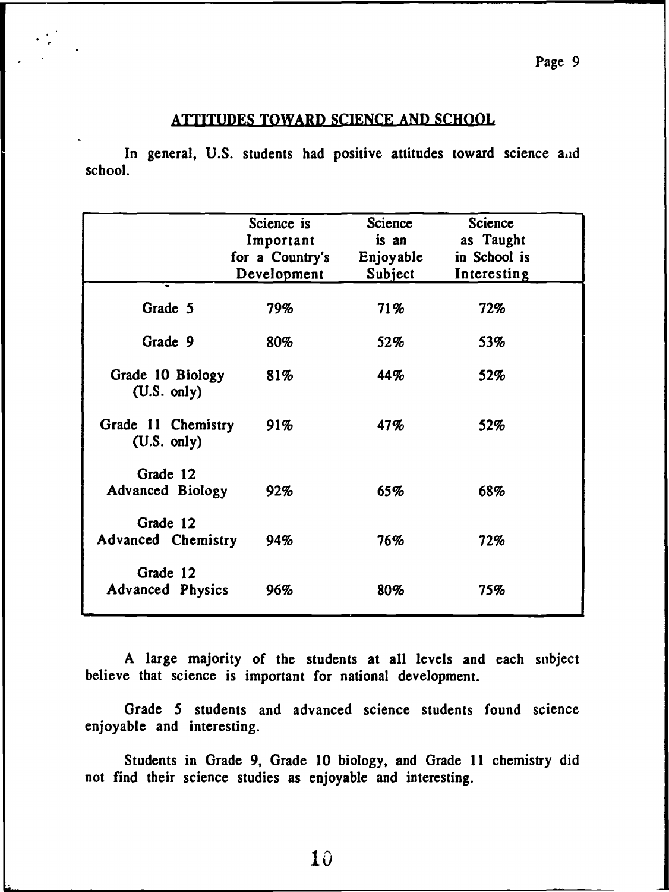# Page 9

# ATTITUDES TOWARD SCIENCE AND SCHOOL

In general, U.S. students had positive attitudes toward science and school.

|                                     | Science is<br>Important<br>for a Country's<br>Development | Science<br>is an<br>Enjoyable<br>Subject | <b>Science</b><br>as Taught<br>in School is<br>Interesting |
|-------------------------------------|-----------------------------------------------------------|------------------------------------------|------------------------------------------------------------|
| Grade 5                             | 79%                                                       | 71%                                      | 72%                                                        |
| Grade 9                             | 80%                                                       | <b>52%</b>                               | 53%                                                        |
| Grade 10 Biology<br>(U.S. only)     | 81%                                                       | 44%                                      | 52%                                                        |
| Grade 11 Chemistry<br>(U.S. only)   | 91%                                                       | 47%                                      | 52%                                                        |
| Grade 12<br><b>Advanced Biology</b> | 92%                                                       | 65%                                      | 68%                                                        |
| Grade 12<br>Advanced Chemistry      | 94%                                                       | 76%                                      | 72%                                                        |
| Grade 12<br><b>Advanced Physics</b> | 96%                                                       | 80%                                      | 75%                                                        |

A large majority of the students at all levels and each subject believe that science is important for national development.

Grade *5* students and advanced science students found science enjoyable and interesting.

Students in Grade 9, Grade 10 biology, and Grade 11 chemistry did not find their science studies as enjoyable and interesting.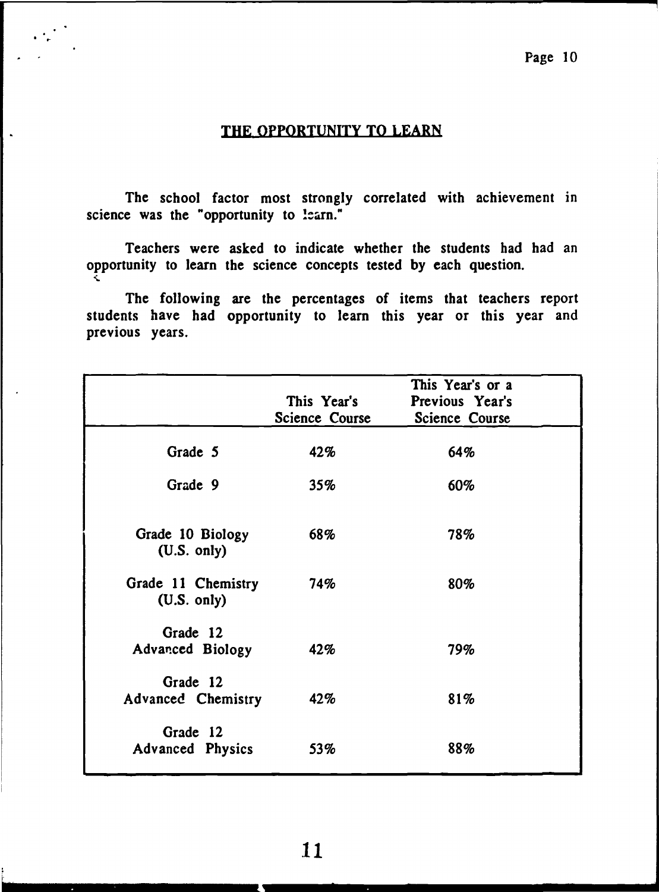# THE OPPORTUNITY TO LEARN

 $\ddot{\cdot}$  ,

The school factor most strongly correlated with achievement in science was the "opportunity to !earn."

Teachers were asked to indicate whether the students had had an opportunity to learn the science concepts tested by each question. "'~

The following are the percentages of items that teachers report students have had opportunity to learn this year or this year and previous years.

|                                     | This Year's<br><b>Science Course</b> | This Year's or a<br>Previous Year's<br><b>Science Course</b> |
|-------------------------------------|--------------------------------------|--------------------------------------------------------------|
| Grade 5                             | 42%                                  | 64%                                                          |
| Grade 9                             | 35%                                  | 60%                                                          |
| Grade 10 Biology<br>(U.S. only)     | 68%                                  | 78%                                                          |
| Grade 11 Chemistry<br>(U.S. only)   | 74%                                  | 80%                                                          |
| Grade 12<br>Advanced Biology        | 42%                                  | 79%                                                          |
| Grade 12<br>Advanced Chemistry      | 42%                                  | 81%                                                          |
| Grade 12<br><b>Advanced Physics</b> | 53%                                  | 88%                                                          |

11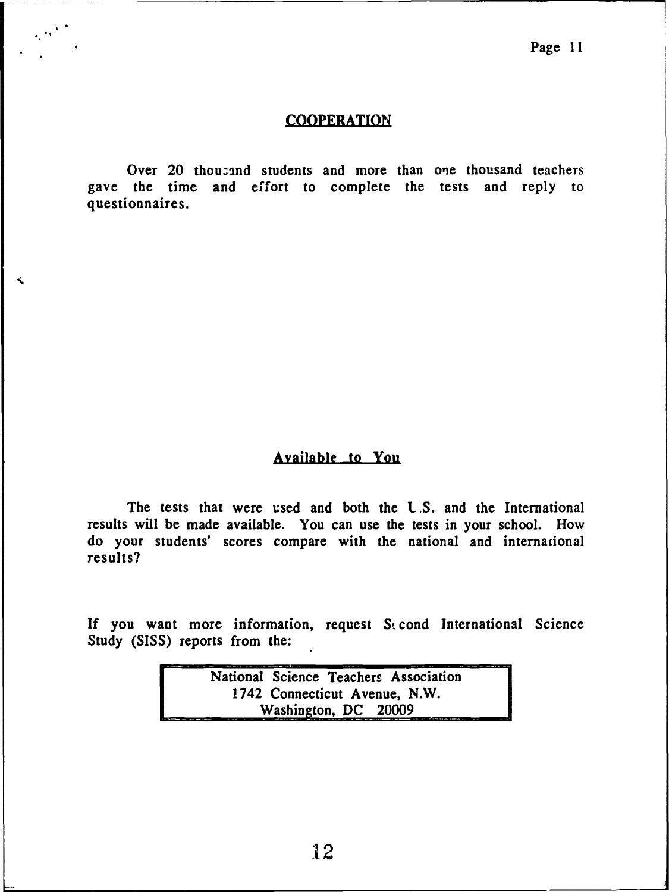# **COOPERATION**

Over 20 thousand students and more than one thousand teachers gave the time and effort to complete the tests and reply to questionnaires.

# **Available** to You

The tests that were used and both the U.S. and the International results will be made available. You can use the tests in your school. How do your students' scores compare with the national and internacional results?

If you want more information, request  $S_1$  cond International Science Study (SISS) reports from the:

| National Science Teachers Association |  |
|---------------------------------------|--|
| 1742 Connecticut Avenue, N.W.         |  |
| Washington, DC 20009                  |  |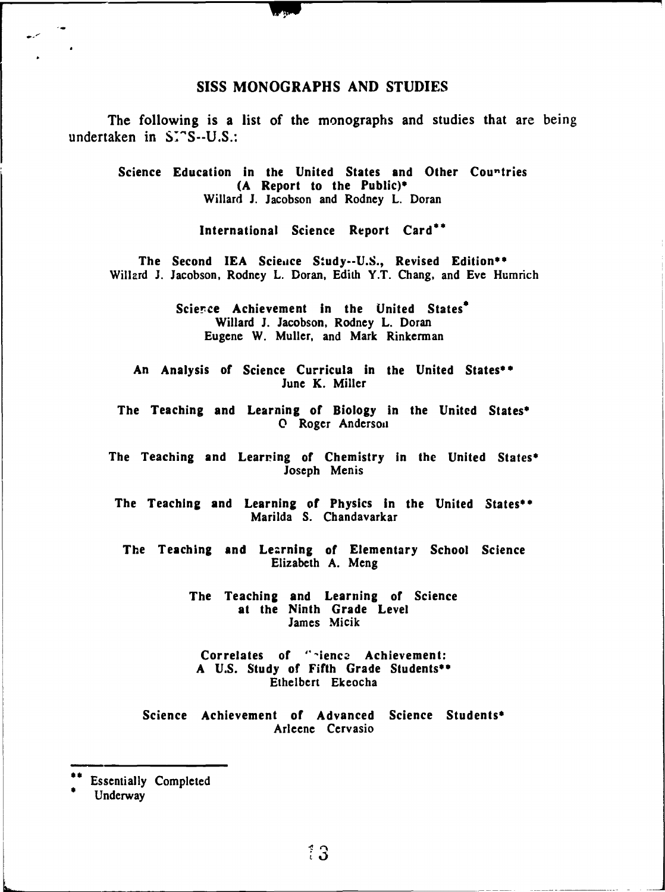#### SISS MONOGRAPHS AND STUDIES

The following is a list of the monographs and studies that are being undertaken in  $S^{\dagger}$ "S--U.S.:

Science Education in the United States and Other Countries (A Report to the Public)• Willard J. Jacobson and Rodney L. Doran

International Science Report Card<sup>\*\*</sup>

The Second IEA Science Study--U.S., Revised Edition\*\* Willard J. Jacobson, Rodney L. Doran, Edith Y.T. Chang, and Eve Humrich

> Science Achievement in the United States<sup>®</sup> Willard J. Jacobson, Rodney L. Doran Eugene W. Muller, and Mark Rinkerman

An Analysis of Science Curricula in the United States\*\* June K. Miller

The Teaching and Learning of Biology in the United States<sup>\*</sup> **O** Roger Anderson

The Teaching and Learning of Chemistry in the United States\* Joseph Menis

The Teaching and Learning of Physics in the United States•• Marilda S. Chandavarkar

The Teaching and Learning of Elementary School Science Elizabeth A. Meng

> The Teaching and Learning of Science at the Ninth **Grade** Level James Micik

Correlates of "rience Achievement: A U.S. Study of Fifth Grade Students•• Ethelbert Ekeocha

Science Achievement of Advanced Science Students\* Arleenc Cervasio

Essentially Completed<br>Underway